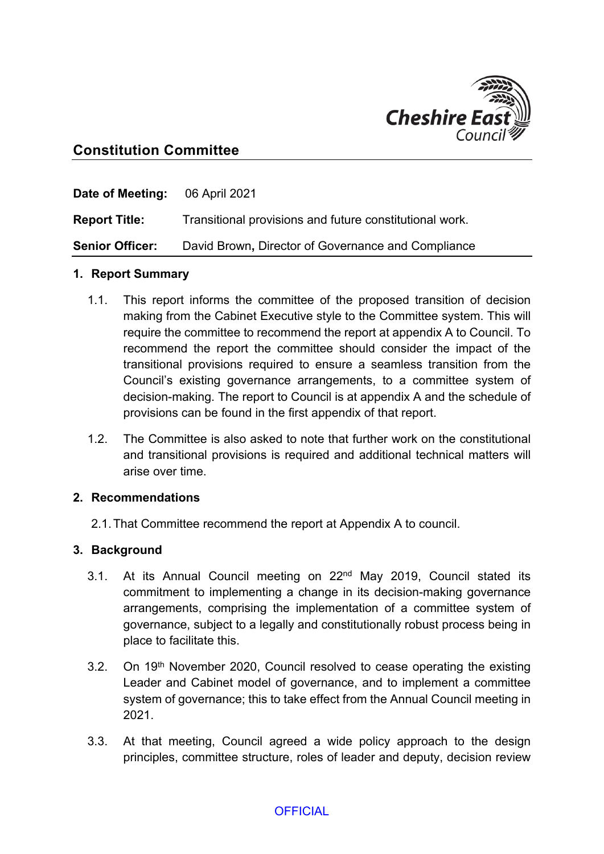

# **Constitution Committee**

| <b>Date of Meeting:</b> 06 April 2021 |                                                         |
|---------------------------------------|---------------------------------------------------------|
| <b>Report Title:</b>                  | Transitional provisions and future constitutional work. |
| <b>Senior Officer:</b>                | David Brown, Director of Governance and Compliance      |

#### **1. Report Summary**

- 1.1. This report informs the committee of the proposed transition of decision making from the Cabinet Executive style to the Committee system. This will require the committee to recommend the report at appendix A to Council. To recommend the report the committee should consider the impact of the transitional provisions required to ensure a seamless transition from the Council's existing governance arrangements, to a committee system of decision-making. The report to Council is at appendix A and the schedule of provisions can be found in the first appendix of that report.
- 1.2. The Committee is also asked to note that further work on the constitutional and transitional provisions is required and additional technical matters will arise over time.

#### **2. Recommendations**

2.1.That Committee recommend the report at Appendix A to council.

#### **3. Background**

- 3.1. At its Annual Council meeting on 22nd May 2019, Council stated its commitment to implementing a change in its decision-making governance arrangements, comprising the implementation of a committee system of governance, subject to a legally and constitutionally robust process being in place to facilitate this.
- 3.2. On 19<sup>th</sup> November 2020, Council resolved to cease operating the existing Leader and Cabinet model of governance, and to implement a committee system of governance; this to take effect from the Annual Council meeting in 2021.
- 3.3. At that meeting, Council agreed a wide policy approach to the design principles, committee structure, roles of leader and deputy, decision review

### **OFFICIAL**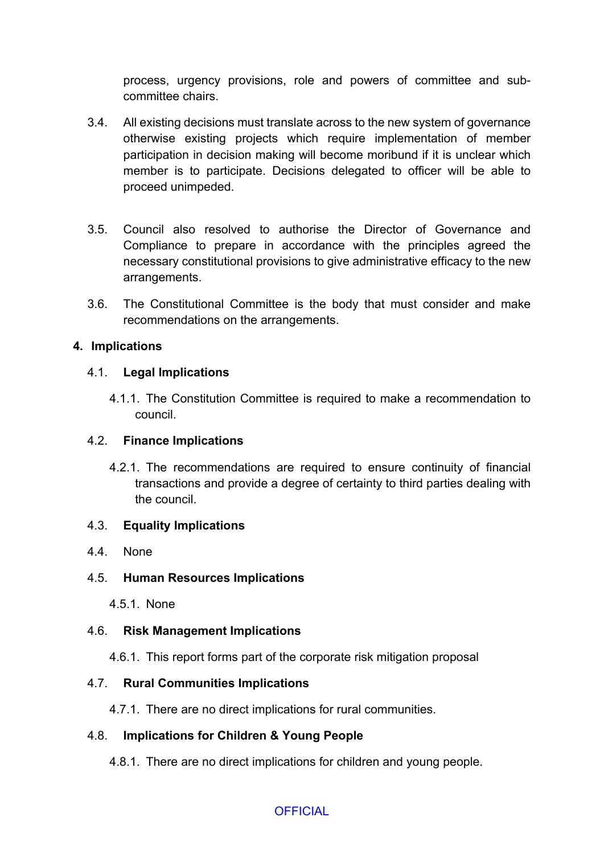process, urgency provisions, role and powers of committee and subcommittee chairs.

- 3.4. All existing decisions must translate across to the new system of governance otherwise existing projects which require implementation of member participation in decision making will become moribund if it is unclear which member is to participate. Decisions delegated to officer will be able to proceed unimpeded.
- 3.5. Council also resolved to authorise the Director of Governance and Compliance to prepare in accordance with the principles agreed the necessary constitutional provisions to give administrative efficacy to the new arrangements.
- 3.6. The Constitutional Committee is the body that must consider and make recommendations on the arrangements.

### **4. Implications**

### 4.1. **Legal Implications**

4.1.1. The Constitution Committee is required to make a recommendation to council.

### 4.2. **Finance Implications**

4.2.1. The recommendations are required to ensure continuity of financial transactions and provide a degree of certainty to third parties dealing with the council.

### 4.3. **Equality Implications**

4.4. None

## 4.5. **Human Resources Implications**

4.5.1. None

### 4.6. **Risk Management Implications**

4.6.1. This report forms part of the corporate risk mitigation proposal

## 4.7. **Rural Communities Implications**

4.7.1. There are no direct implications for rural communities.

## 4.8. **Implications for Children & Young People**

4.8.1. There are no direct implications for children and young people.